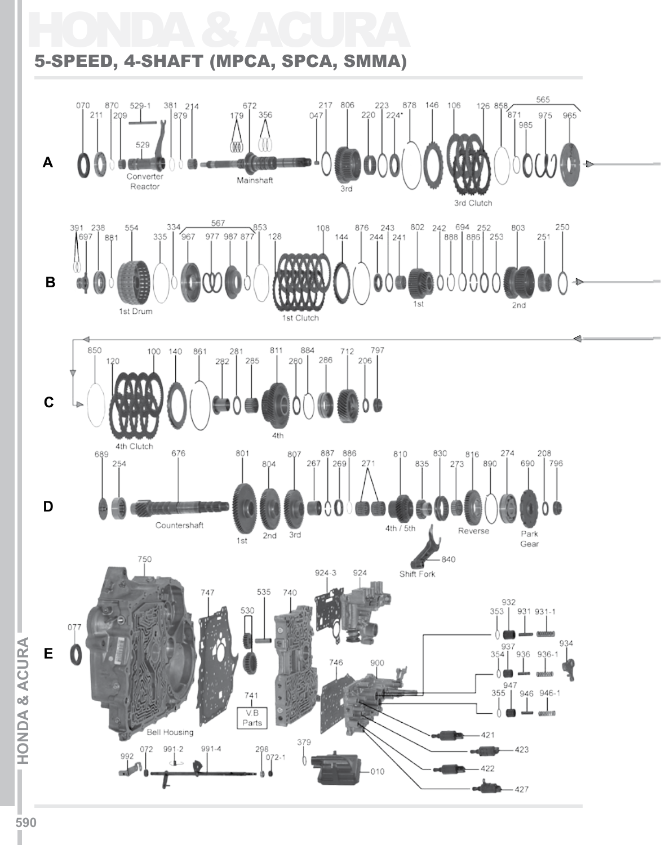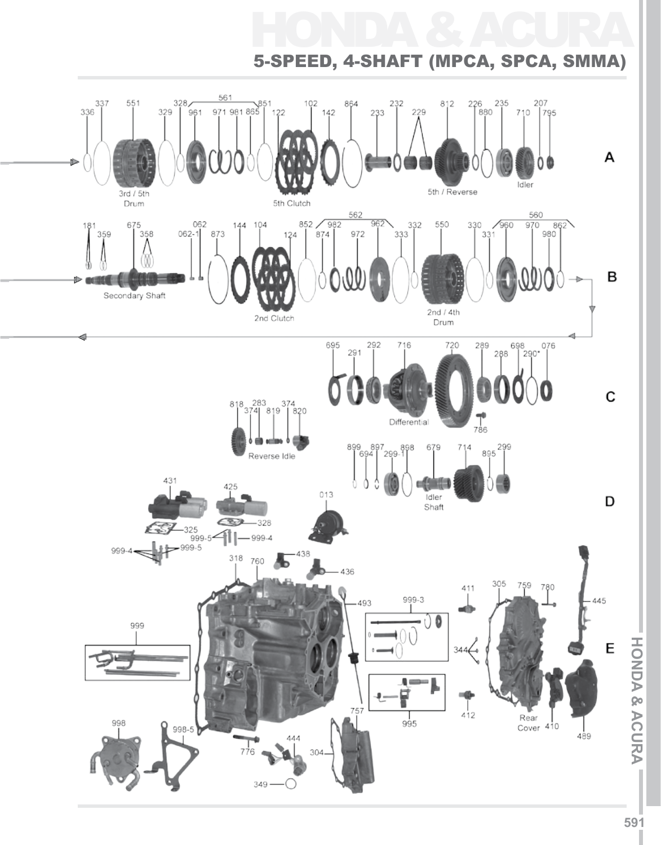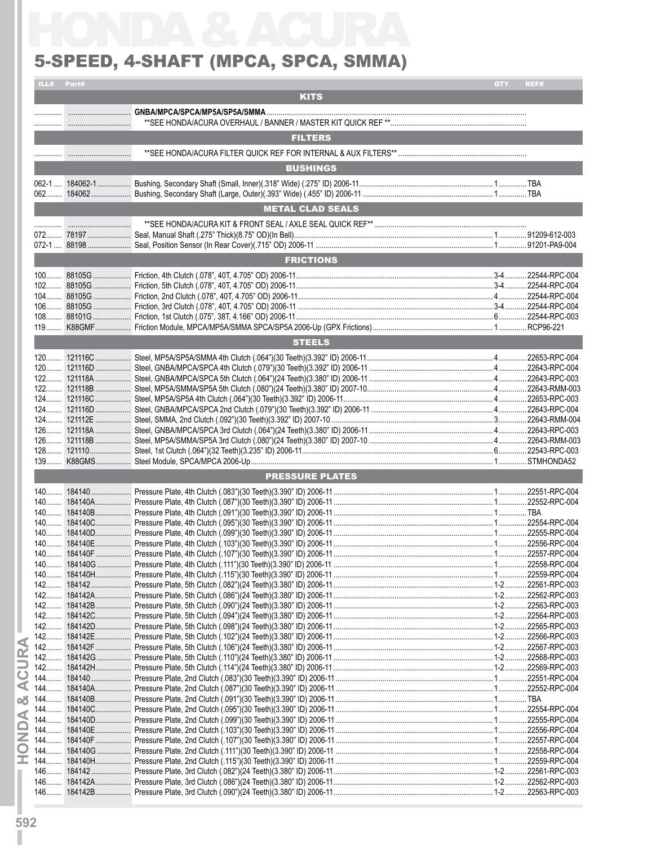### 5-Speed, 4-Shaft (MPCA, SPCA, SMMA)

|      | ILL# Part# |                                                                  | QTY | REF#          |
|------|------------|------------------------------------------------------------------|-----|---------------|
|      |            | <b>KITS</b>                                                      |     |               |
|      |            |                                                                  |     |               |
|      |            |                                                                  |     |               |
|      |            | <b>FILTERS</b>                                                   |     |               |
|      |            |                                                                  |     |               |
|      |            | <b>BUSHINGS</b>                                                  |     |               |
|      |            |                                                                  |     |               |
|      |            | <b>METAL CLAD SEALS</b>                                          |     |               |
|      |            |                                                                  |     |               |
|      |            |                                                                  |     |               |
|      |            |                                                                  |     |               |
|      |            | <b>FRICTIONS</b>                                                 |     |               |
|      |            |                                                                  |     |               |
|      |            |                                                                  |     |               |
|      |            |                                                                  |     |               |
|      |            |                                                                  |     |               |
|      |            |                                                                  |     |               |
|      |            | <b>STEELS</b>                                                    |     |               |
|      |            |                                                                  |     |               |
|      |            |                                                                  |     |               |
|      |            |                                                                  |     |               |
|      |            |                                                                  |     |               |
|      |            |                                                                  |     |               |
|      |            |                                                                  |     |               |
|      |            |                                                                  |     |               |
|      |            |                                                                  |     |               |
|      |            | <b>PRESSURE PLATES</b>                                           |     |               |
|      |            |                                                                  |     |               |
| 140. | 184140.    | Pressure Plate, 4th Clutch (.083")(30 Teeth)(3.390" ID) 2006-11. |     | 22551-RPC-004 |
|      |            |                                                                  |     |               |
|      |            |                                                                  |     |               |
|      |            |                                                                  |     |               |
|      |            |                                                                  |     |               |
|      |            |                                                                  |     |               |
|      |            |                                                                  |     |               |
|      |            |                                                                  |     |               |
|      |            |                                                                  |     |               |
|      |            |                                                                  |     |               |
|      |            |                                                                  |     |               |
|      |            |                                                                  |     |               |
|      |            |                                                                  |     |               |
|      |            |                                                                  |     |               |
|      |            |                                                                  |     |               |
|      |            |                                                                  |     |               |
|      |            |                                                                  |     |               |
|      |            |                                                                  |     |               |
|      |            |                                                                  |     |               |
|      |            |                                                                  |     |               |
|      |            |                                                                  |     |               |
|      |            |                                                                  |     |               |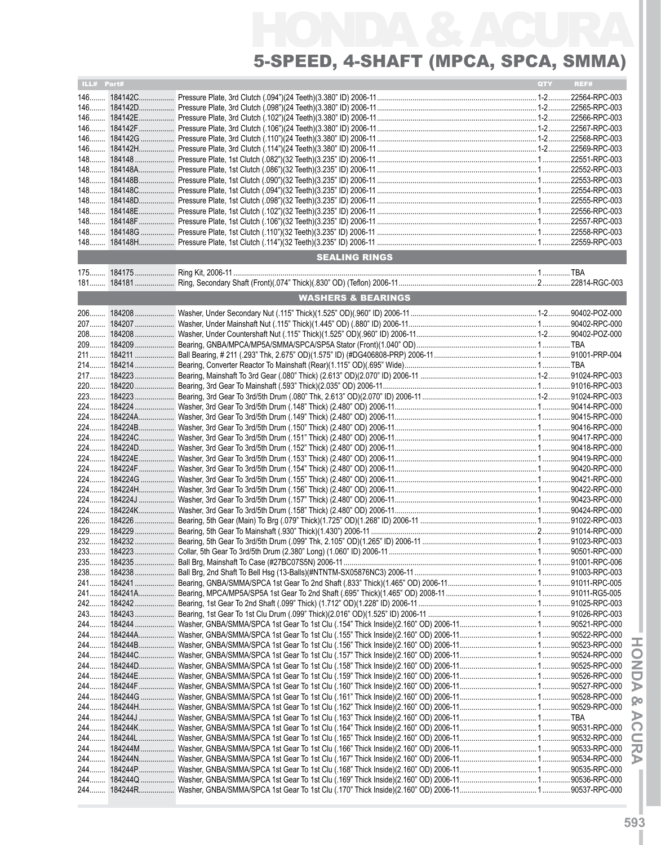# HONDA & ACURA 5-Speed, 4-Shaft (MPCA, SPCA, SMMA)

| ILL# Part# |                               | QTY | REF# |
|------------|-------------------------------|-----|------|
|            |                               |     |      |
|            |                               |     |      |
|            |                               |     |      |
|            |                               |     |      |
|            |                               |     |      |
|            |                               |     |      |
|            |                               |     |      |
|            |                               |     |      |
|            |                               |     |      |
|            |                               |     |      |
|            |                               |     |      |
|            |                               |     |      |
|            |                               |     |      |
|            |                               |     |      |
|            | <b>SEALING RINGS</b>          |     |      |
|            |                               |     |      |
|            |                               |     |      |
|            |                               |     |      |
|            | <b>WASHERS &amp; BEARINGS</b> |     |      |
|            |                               |     |      |
| 207        |                               |     |      |
|            |                               |     |      |
|            |                               |     |      |
|            |                               |     |      |
| 217        |                               |     |      |
|            |                               |     |      |
|            |                               |     |      |
|            |                               |     |      |
|            |                               |     |      |
|            |                               |     |      |
|            |                               |     |      |
|            |                               |     |      |
|            |                               |     |      |
|            |                               |     |      |
|            |                               |     |      |
|            |                               |     |      |
|            |                               |     |      |
|            |                               |     |      |
|            |                               |     |      |
|            |                               |     |      |
|            |                               |     |      |
|            |                               |     |      |
|            |                               |     |      |
|            |                               |     |      |
|            |                               |     |      |
|            |                               |     |      |
|            |                               |     |      |
|            |                               |     |      |
|            |                               |     |      |
|            |                               |     |      |
|            |                               |     |      |
|            |                               |     |      |
|            |                               |     |      |
|            |                               |     |      |
|            |                               |     |      |
|            |                               |     |      |
|            |                               |     |      |
|            |                               |     |      |
|            |                               |     |      |
|            |                               |     |      |
|            |                               |     |      |
|            |                               |     |      |

**IHON D A & ACURAI**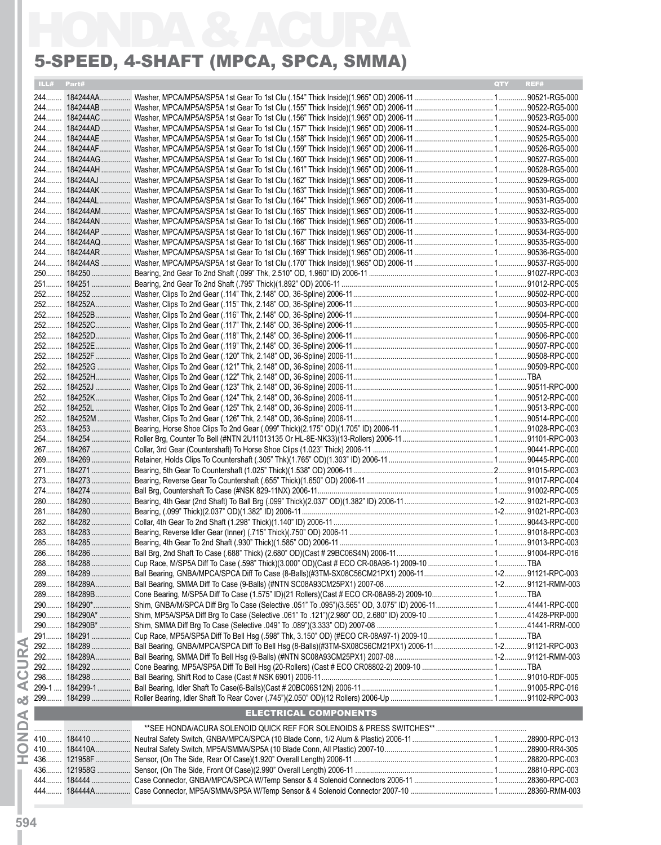### 5-Speed, 4-Shaft (MPCA, SPCA, SMMA)

|       |            | 5-SPEED, 4-SHAFT (MPCA, SPCA, SMMA) |       |      |
|-------|------------|-------------------------------------|-------|------|
|       | ILL# Part# |                                     | QTY . | REF# |
|       |            |                                     |       |      |
|       |            |                                     |       |      |
|       |            |                                     |       |      |
|       |            |                                     |       |      |
|       |            |                                     |       |      |
|       |            |                                     |       |      |
|       |            |                                     |       |      |
|       |            |                                     |       |      |
|       |            |                                     |       |      |
|       |            |                                     |       |      |
|       |            |                                     |       |      |
|       |            |                                     |       |      |
|       |            |                                     |       |      |
|       |            |                                     |       |      |
|       |            |                                     |       |      |
|       |            |                                     |       |      |
|       |            |                                     |       |      |
|       |            |                                     |       |      |
|       |            |                                     |       |      |
|       |            |                                     |       |      |
|       |            |                                     |       |      |
|       |            |                                     |       |      |
|       |            |                                     |       |      |
|       |            |                                     |       |      |
|       |            |                                     |       |      |
|       |            |                                     |       |      |
|       |            |                                     |       |      |
|       |            |                                     |       |      |
|       |            |                                     |       |      |
|       |            |                                     |       |      |
|       |            |                                     |       |      |
|       |            |                                     |       |      |
|       |            |                                     |       |      |
|       |            |                                     |       |      |
|       |            |                                     |       |      |
|       |            |                                     |       |      |
|       |            |                                     |       |      |
|       |            |                                     |       |      |
|       |            |                                     |       |      |
|       |            |                                     |       |      |
|       |            |                                     |       |      |
|       |            |                                     |       |      |
| 289   |            |                                     |       |      |
|       |            |                                     |       |      |
|       |            |                                     |       |      |
|       |            |                                     |       |      |
| $290$ |            |                                     |       |      |
|       |            |                                     |       |      |
| 292   |            |                                     |       |      |
|       |            |                                     |       |      |
|       |            |                                     |       |      |
| 298   |            |                                     |       |      |
|       |            |                                     |       |      |
|       |            |                                     |       |      |
|       |            | <b>ELECTRICAL COMPONENTS</b>        |       |      |
| . 1   |            |                                     |       |      |
|       |            |                                     |       |      |
|       |            |                                     |       |      |
|       |            |                                     |       |      |
|       |            |                                     |       |      |
|       |            |                                     |       |      |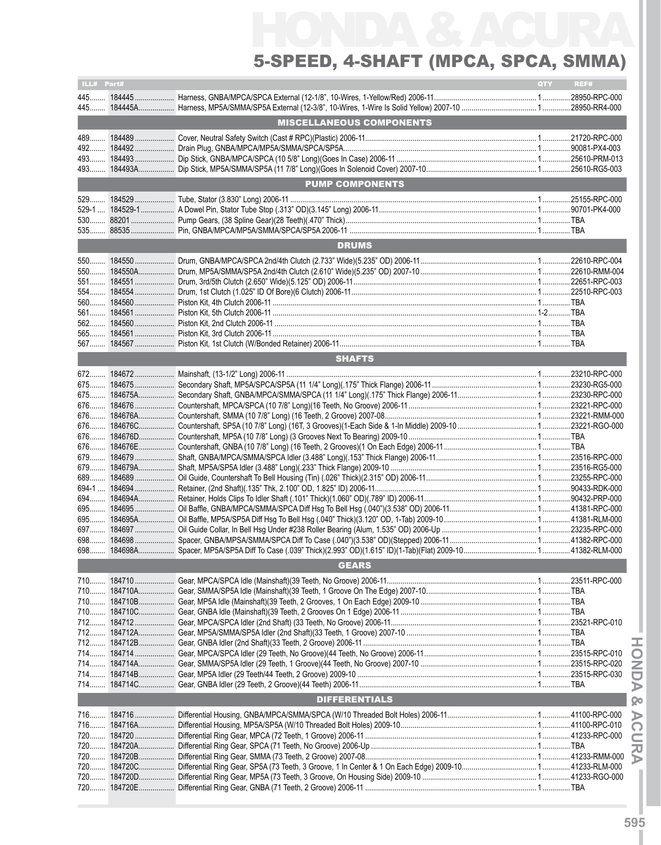# HONDA & ACURA 5-Speed, 4-Shaft (MPCA, SPCA, SMMA)

| ILL# Part#<br>REF#<br>QTY |  |                                 |  |  |  |  |
|---------------------------|--|---------------------------------|--|--|--|--|
|                           |  |                                 |  |  |  |  |
|                           |  |                                 |  |  |  |  |
|                           |  |                                 |  |  |  |  |
|                           |  | <b>MISCELLANEOUS COMPONENTS</b> |  |  |  |  |
|                           |  |                                 |  |  |  |  |
| 492                       |  |                                 |  |  |  |  |
|                           |  |                                 |  |  |  |  |
|                           |  |                                 |  |  |  |  |
|                           |  |                                 |  |  |  |  |
|                           |  | <b>PUMP COMPONENTS</b>          |  |  |  |  |
| 529                       |  |                                 |  |  |  |  |
| $529-1$                   |  |                                 |  |  |  |  |
|                           |  |                                 |  |  |  |  |
|                           |  |                                 |  |  |  |  |
|                           |  | <b>DRUMS</b>                    |  |  |  |  |
|                           |  |                                 |  |  |  |  |
| 550                       |  |                                 |  |  |  |  |
| 550                       |  |                                 |  |  |  |  |
|                           |  |                                 |  |  |  |  |
|                           |  |                                 |  |  |  |  |
| 560                       |  |                                 |  |  |  |  |
| 561                       |  |                                 |  |  |  |  |
| 562                       |  |                                 |  |  |  |  |
|                           |  |                                 |  |  |  |  |
| $567$                     |  |                                 |  |  |  |  |
|                           |  | <b>SHAFTS</b>                   |  |  |  |  |
|                           |  |                                 |  |  |  |  |
|                           |  |                                 |  |  |  |  |
| 675                       |  |                                 |  |  |  |  |
|                           |  |                                 |  |  |  |  |
|                           |  |                                 |  |  |  |  |
|                           |  |                                 |  |  |  |  |
|                           |  |                                 |  |  |  |  |
|                           |  |                                 |  |  |  |  |
|                           |  |                                 |  |  |  |  |
|                           |  |                                 |  |  |  |  |
| 679                       |  |                                 |  |  |  |  |
| $689$                     |  |                                 |  |  |  |  |
|                           |  |                                 |  |  |  |  |
|                           |  |                                 |  |  |  |  |
|                           |  |                                 |  |  |  |  |
| 695                       |  |                                 |  |  |  |  |
| 697                       |  |                                 |  |  |  |  |
| 698                       |  |                                 |  |  |  |  |
|                           |  |                                 |  |  |  |  |
|                           |  | <b>GEARS</b>                    |  |  |  |  |
| 710                       |  |                                 |  |  |  |  |
| $710$                     |  |                                 |  |  |  |  |
|                           |  |                                 |  |  |  |  |
|                           |  |                                 |  |  |  |  |
|                           |  |                                 |  |  |  |  |
| $712$                     |  |                                 |  |  |  |  |
| 712                       |  |                                 |  |  |  |  |
| 714                       |  |                                 |  |  |  |  |
|                           |  |                                 |  |  |  |  |
|                           |  |                                 |  |  |  |  |
|                           |  |                                 |  |  |  |  |
|                           |  |                                 |  |  |  |  |
| <b>DIFFERENTIALS</b>      |  |                                 |  |  |  |  |
|                           |  |                                 |  |  |  |  |
|                           |  |                                 |  |  |  |  |
|                           |  |                                 |  |  |  |  |
|                           |  |                                 |  |  |  |  |
|                           |  |                                 |  |  |  |  |
| $720$                     |  |                                 |  |  |  |  |
|                           |  |                                 |  |  |  |  |
|                           |  |                                 |  |  |  |  |
|                           |  |                                 |  |  |  |  |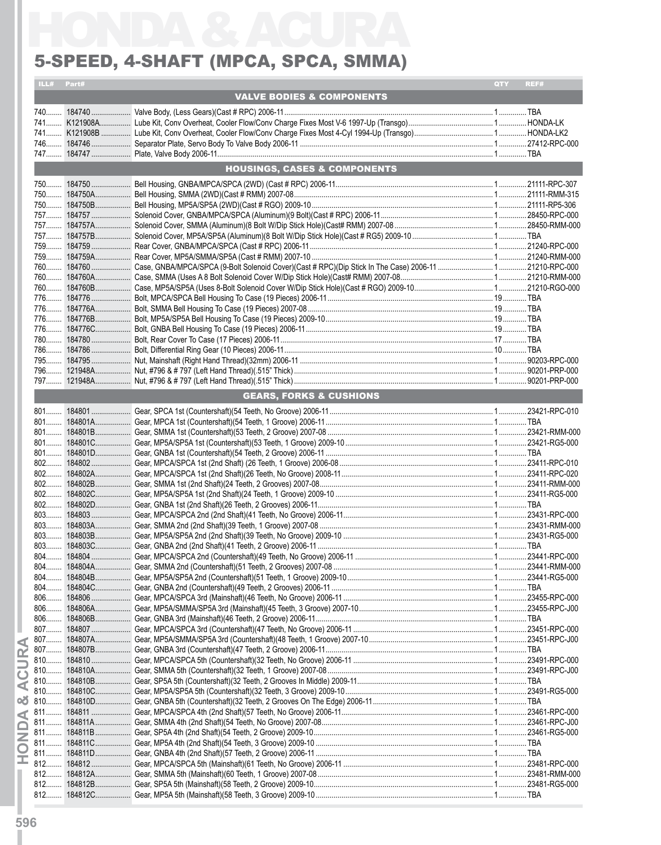### 5-Speed, 4-Shaft (MPCA, SPCA, SMMA)

| ILL# Part# |                                         | <b>QTY</b> | REF# |
|------------|-----------------------------------------|------------|------|
|            | <b>VALVE BODIES &amp; COMPONENTS</b>    |            |      |
|            |                                         |            |      |
|            |                                         |            |      |
|            |                                         |            |      |
|            |                                         |            |      |
|            | <b>HOUSINGS, CASES &amp; COMPONENTS</b> |            |      |
|            |                                         |            |      |
|            |                                         |            |      |
|            |                                         |            |      |
|            |                                         |            |      |
|            |                                         |            |      |
|            |                                         |            |      |
|            |                                         |            |      |
|            |                                         |            |      |
|            |                                         |            |      |
|            |                                         |            |      |
|            |                                         |            |      |
|            |                                         |            |      |
|            |                                         |            |      |
|            |                                         |            |      |
|            |                                         |            |      |
|            |                                         |            |      |
|            |                                         |            |      |
|            |                                         |            |      |
|            | <b>GEARS, FORKS &amp; CUSHIONS</b>      |            |      |
|            |                                         |            |      |
|            |                                         |            |      |
|            |                                         |            |      |
|            |                                         |            |      |
|            |                                         |            |      |
|            |                                         |            |      |
|            |                                         |            |      |
|            |                                         |            |      |
|            |                                         |            |      |
|            |                                         |            |      |
|            |                                         |            |      |
|            |                                         |            |      |
|            |                                         |            |      |
|            |                                         |            |      |
|            |                                         |            |      |
|            |                                         |            |      |
|            |                                         |            |      |
|            |                                         |            |      |
|            |                                         |            |      |
|            |                                         |            |      |
|            |                                         |            |      |
|            |                                         |            |      |
|            |                                         |            |      |
|            |                                         |            |      |
|            |                                         |            |      |
|            |                                         |            |      |
|            |                                         |            |      |
|            |                                         |            |      |
|            |                                         |            |      |
|            |                                         |            |      |
|            |                                         |            |      |
|            |                                         |            |      |
|            |                                         |            |      |
|            |                                         |            |      |